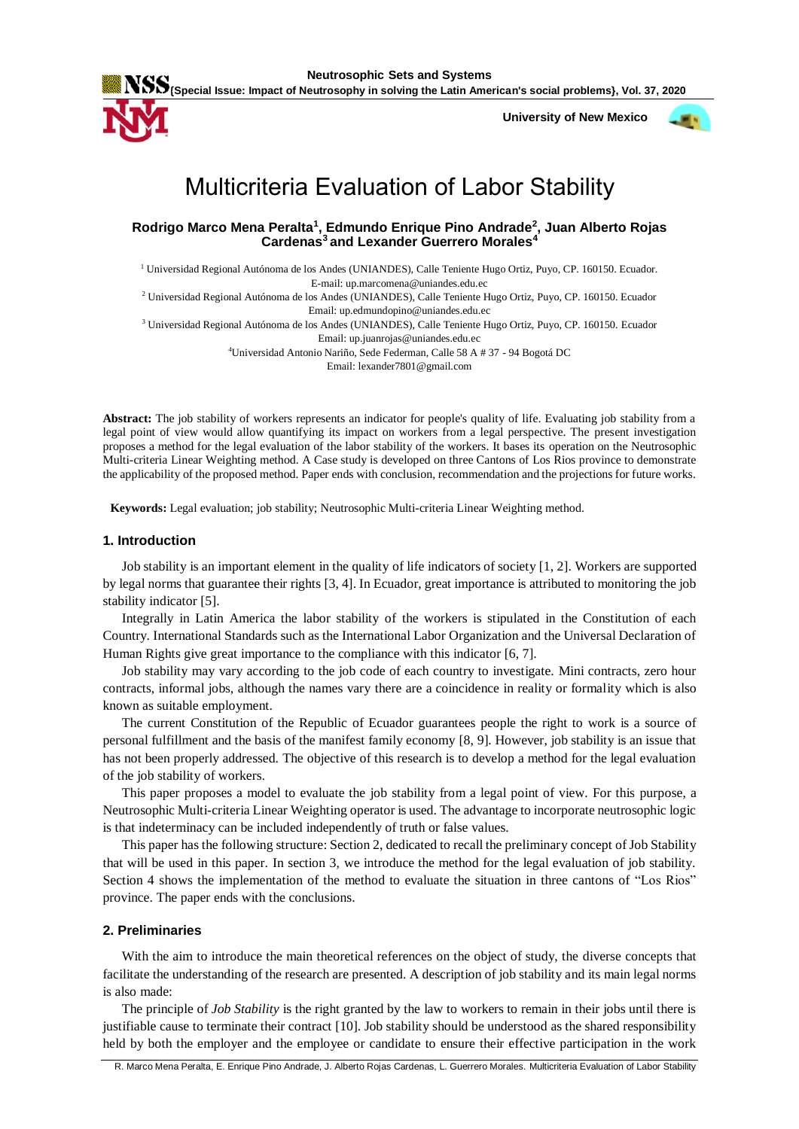

 **University of New Mexico**



# Multicriteria Evaluation of Labor Stability

**Rodrigo Marco Mena Peralta<sup>1</sup> , Edmundo Enrique Pino Andrade<sup>2</sup> , Juan Alberto Rojas Cardenas<sup>3</sup> and Lexander Guerrero Morales<sup>4</sup>**

<sup>1</sup> Universidad Regional Autónoma de los Andes (UNIANDES), Calle Teniente Hugo Ortiz, Puyo, CP. 160150. Ecuador. E-mail: up.marcomena@uniandes.edu.ec

<sup>2</sup> Universidad Regional Autónoma de los Andes (UNIANDES), Calle Teniente Hugo Ortiz, Puyo, CP. 160150. Ecuador Email: up.edmundopino@uniandes.edu.ec

<sup>3</sup> Universidad Regional Autónoma de los Andes (UNIANDES), Calle Teniente Hugo Ortiz, Puyo, CP. 160150. Ecuador Email: up.juanrojas@uniandes.edu.ec

<sup>4</sup>Universidad Antonio Nariño, Sede Federman, Calle 58 A # 37 - 94 Bogotá DC

Email: lexander7801@gmail.com

**Abstract:** The job stability of workers represents an indicator for people's quality of life. Evaluating job stability from a legal point of view would allow quantifying its impact on workers from a legal perspective. The present investigation proposes a method for the legal evaluation of the labor stability of the workers. It bases its operation on the Neutrosophic Multi-criteria Linear Weighting method. A Case study is developed on three Cantons of Los Rios province to demonstrate the applicability of the proposed method. Paper ends with conclusion, recommendation and the projections for future works.

**Keywords:** Legal evaluation; job stability; Neutrosophic Multi-criteria Linear Weighting method.

## **1. Introduction**

Job stability is an important element in the quality of life indicators of society [\[1,](#page-5-0) [2\]](#page-5-1). Workers are supported by legal norms that guarantee their rights [\[3,](#page-5-2) [4\]](#page-5-3). In Ecuador, great importance is attributed to monitoring the job stability indicator [\[5\]](#page-5-4).

Integrally in Latin America the labor stability of the workers is stipulated in the Constitution of each Country. International Standards such as the International Labor Organization and the Universal Declaration of Human Rights give great importance to the compliance with this indicator [\[6,](#page-5-5) [7\]](#page-5-6).

Job stability may vary according to the job code of each country to investigate. Mini contracts, zero hour contracts, informal jobs, although the names vary there are a coincidence in reality or formality which is also known as suitable employment.

The current Constitution of the Republic of Ecuador guarantees people the right to work is a source of personal fulfillment and the basis of the manifest family economy [\[8,](#page-5-7) [9\]](#page-5-8). However, job stability is an issue that has not been properly addressed. The objective of this research is to develop a method for the legal evaluation of the job stability of workers.

This paper proposes a model to evaluate the job stability from a legal point of view. For this purpose, a Neutrosophic Multi-criteria Linear Weighting operator is used. The advantage to incorporate neutrosophic logic is that indeterminacy can be included independently of truth or false values.

This paper has the following structure: Section 2, dedicated to recall the preliminary concept of Job Stability that will be used in this paper. In section 3, we introduce the method for the legal evaluation of job stability. Section 4 shows the implementation of the method to evaluate the situation in three cantons of "Los Rios" province. The paper ends with the conclusions.

# **2. Preliminaries**

With the aim to introduce the main theoretical references on the object of study, the diverse concepts that facilitate the understanding of the research are presented. A description of job stability and its main legal norms is also made:

The principle of *Job Stability* is the right granted by the law to workers to remain in their jobs until there is justifiable cause to terminate their contract [\[10\]](#page-5-9). Job stability should be understood as the shared responsibility held by both the employer and the employee or candidate to ensure their effective participation in the work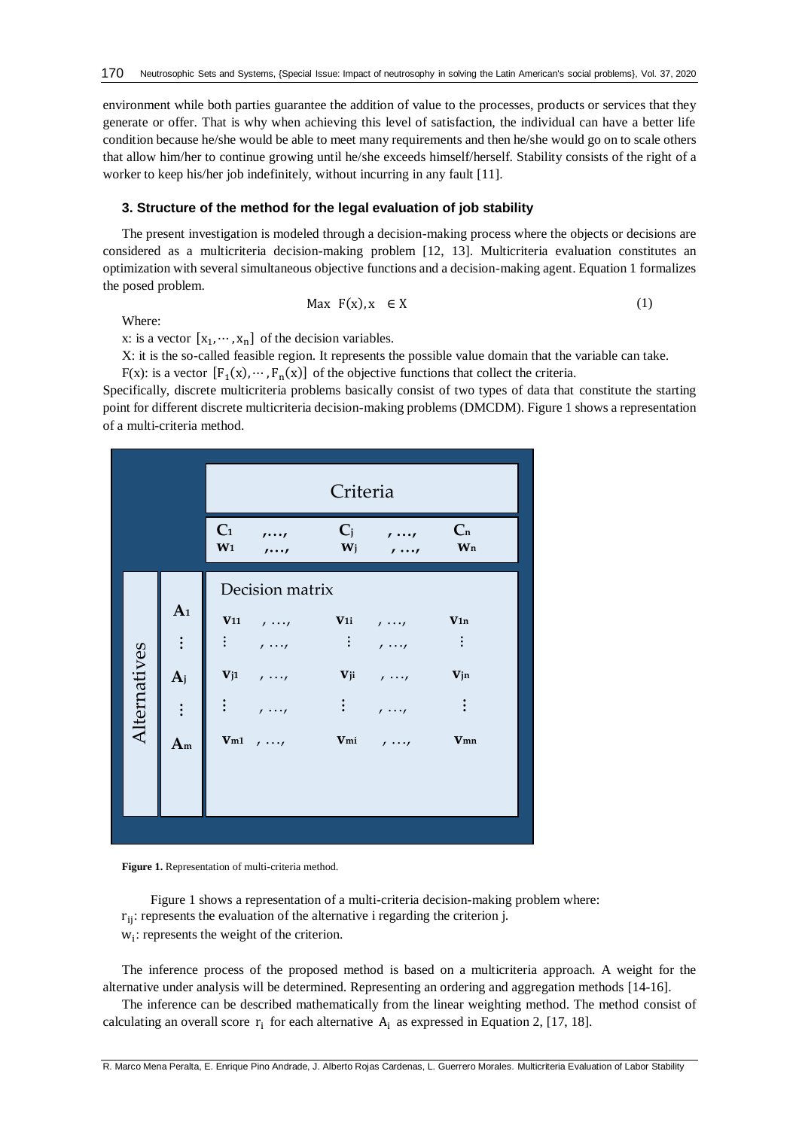environment while both parties guarantee the addition of value to the processes, products or services that they generate or offer. That is why when achieving this level of satisfaction, the individual can have a better life condition because he/she would be able to meet many requirements and then he/she would go on to scale others that allow him/her to continue growing until he/she exceeds himself/herself. Stability consists of the right of a worker to keep his/her job indefinitely, without incurring in any fault [\[11\]](#page-5-10).

#### **3. Structure of the method for the legal evaluation of job stability**

The present investigation is modeled through a decision-making process where the objects or decisions are considered as a multicriteria decision-making problem [\[12,](#page-5-11) [13\]](#page-5-12). Multicriteria evaluation constitutes an optimization with several simultaneous objective functions and a decision-making agent. Equation 1 formalizes the posed problem.

Where:

$$
\text{Max } F(x), x \in X \tag{1}
$$

x: is a vector  $[x_1, \dots, x_n]$  of the decision variables.

X: it is the so-called feasible region. It represents the possible value domain that the variable can take.

F(x): is a vector  $[F_1(x), \dots, F_n(x)]$  of the objective functions that collect the criteria.

Specifically, discrete multicriteria problems basically consist of two types of data that constitute the starting point for different discrete multicriteria decision-making problems (DMCDM). Figure 1 shows a representation of a multi-criteria method.

|              |                                                          | Criteria                         |                                                                                                    |                  |                                                    |                                    |
|--------------|----------------------------------------------------------|----------------------------------|----------------------------------------------------------------------------------------------------|------------------|----------------------------------------------------|------------------------------------|
|              |                                                          | C <sub>1</sub><br>W <sub>1</sub> | $\cdots$<br>$\cdots$                                                                               | $C_j$<br>$W_{j}$ | $\mathbf{r}$<br>$\mathbf{r}$                       | C <sub>n</sub><br>Wn               |
| Alternatives | A <sub>1</sub><br>$\vdots$<br>$A_j$<br>$\vdots$<br>$A_m$ |                                  | Decision matrix<br>$V11$ , , $V1i$ , ,<br>$\vdots$ , , ,<br>$Vj1$ , $\cdots$<br>$:$ , ,<br>$Vm1$ , |                  | $1 \cdots 1$<br>$Vji$ , ,<br>$\prime$<br>$Vmi$ , , | V1n<br>$\vdots$<br>Vjn<br>÷<br>Vmn |

Figure 1. Representation of multi-criteria method.

Figure 1 shows a representation of a multi-criteria decision-making problem where:  $r_{ii}$ : represents the evaluation of the alternative i regarding the criterion j. wi : represents the weight of the criterion.

The inference process of the proposed method is based on a multicriteria approach. A weight for the alternative under analysis will be determined. Representing an ordering and aggregation methods [\[14-16\]](#page-5-13).

The inference can be described mathematically from the linear weighting method. The method consist of calculating an overall score  $r_i$  for each alternative  $A_i$  as expressed in Equation 2, [\[17,](#page-5-14) [18\]](#page-5-15).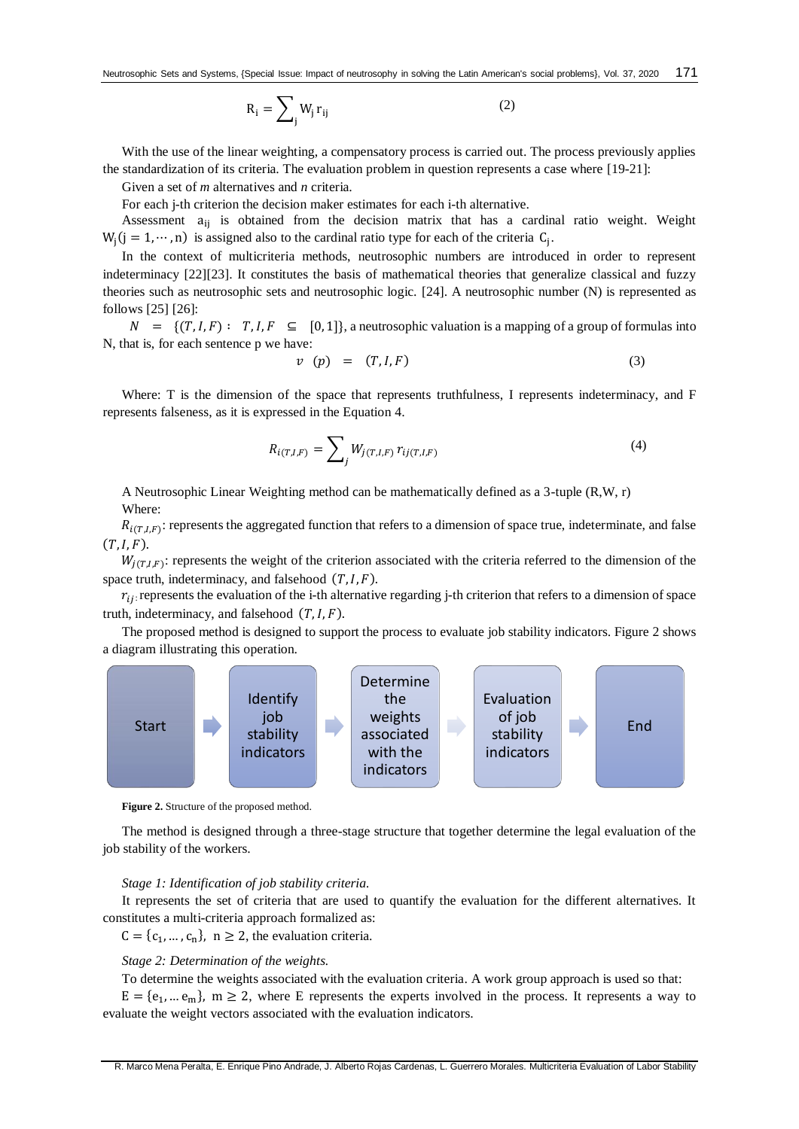$$
R_i = \sum_{j} W_j r_{ij} \tag{2}
$$

With the use of the linear weighting, a compensatory process is carried out. The process previously applies the standardization of its criteria. The evaluation problem in question represents a case where [\[19-21\]](#page-6-0):

Given a set of *m* alternatives and *n* criteria.

For each j-th criterion the decision maker estimates for each i-th alternative.

Assessment a<sub>ij</sub> is obtained from the decision matrix that has a cardinal ratio weight. Weight  $W_j$ (j = 1, …, n) is assigned also to the cardinal ratio type for each of the criteria  $C_j$ .

In the context of multicriteria methods, neutrosophic numbers are introduced in order to represent indeterminacy [\[22\]](#page-6-1)[\[23\]](#page-6-2). It constitutes the basis of mathematical theories that generalize classical and fuzzy theories such as neutrosophic sets and neutrosophic logic. [\[24\]](#page-6-3). A neutrosophic number (N) is represented as follows [\[25\]](#page-6-4) [\[26\]](#page-6-5):

 $N = \{ (T, I, F) : T, I, F \subseteq [0, 1] \}$ , a neutrosophic valuation is a mapping of a group of formulas into N, that is, for each sentence p we have:

$$
v \quad (p) \quad = \quad (T, I, F) \tag{3}
$$

Where: T is the dimension of the space that represents truthfulness, I represents indeterminacy, and F represents falseness, as it is expressed in the Equation 4.

$$
R_{i(T,I,F)} = \sum_{j} W_{j(T,I,F)} r_{ij(T,I,F)}
$$
\n(4)

A Neutrosophic Linear Weighting method can be mathematically defined as a 3-tuple (R,W, r) Where:

 $R_{i(T,I,F)}$ : represents the aggregated function that refers to a dimension of space true, indeterminate, and false  $(T, I, F)$ .

 $W_{j(T,I,F)}$ : represents the weight of the criterion associated with the criteria referred to the dimension of the space truth, indeterminacy, and falsehood  $(T, I, F)$ .

 $r_{ij}$ : represents the evaluation of the i-th alternative regarding j-th criterion that refers to a dimension of space truth, indeterminacy, and falsehood  $(T, I, F)$ .

The proposed method is designed to support the process to evaluate job stability indicators. Figure 2 shows a diagram illustrating this operation.



**Figure 2.** Structure of the proposed method.

The method is designed through a three-stage structure that together determine the legal evaluation of the job stability of the workers.

#### *Stage 1: Identification of job stability criteria.*

It represents the set of criteria that are used to quantify the evaluation for the different alternatives. It constitutes a multi-criteria approach formalized as:

 $C = \{c_1, ..., c_n\}$ ,  $n \ge 2$ , the evaluation criteria.

# *Stage 2: Determination of the weights.*

To determine the weights associated with the evaluation criteria. A work group approach is used so that:

 $E = {e_1, ... e_m}$ ,  $m \ge 2$ , where E represents the experts involved in the process. It represents a way to evaluate the weight vectors associated with the evaluation indicators.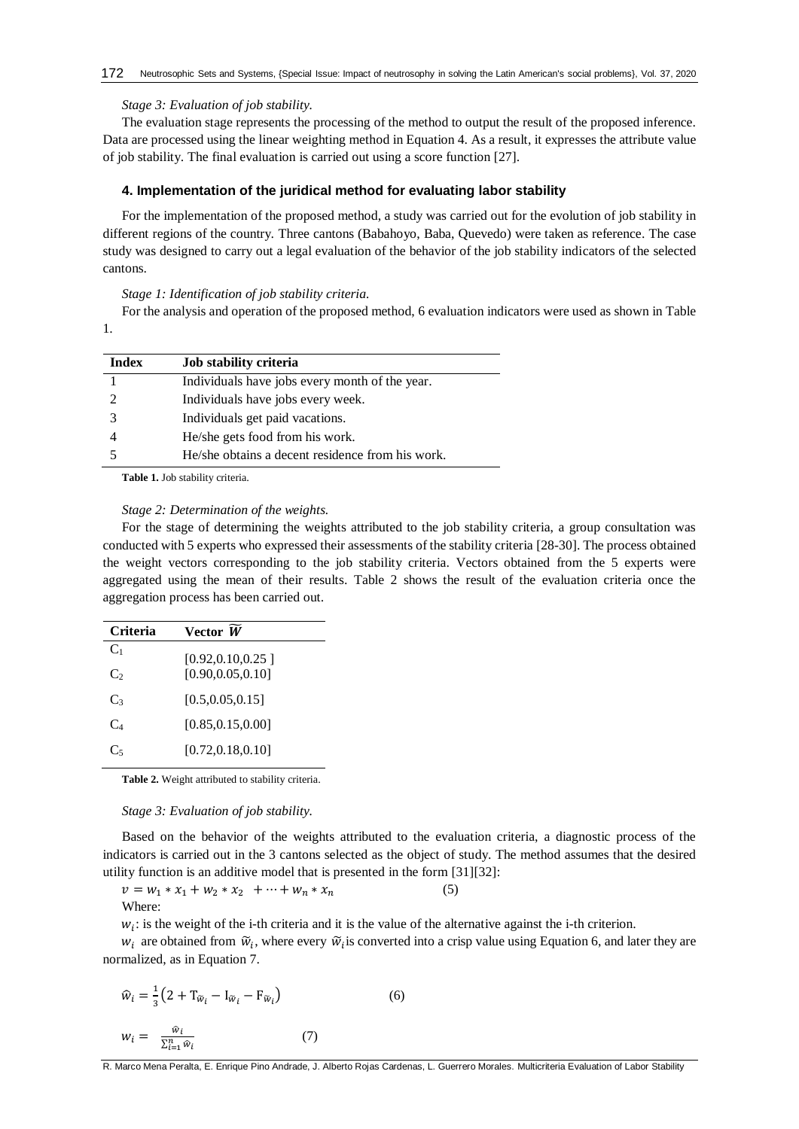#### *Stage 3: Evaluation of job stability.*

The evaluation stage represents the processing of the method to output the result of the proposed inference. Data are processed using the linear weighting method in Equation 4. As a result, it expresses the attribute value of job stability. The final evaluation is carried out using a score function [\[27\]](#page-6-6).

### **4. Implementation of the juridical method for evaluating labor stability**

For the implementation of the proposed method, a study was carried out for the evolution of job stability in different regions of the country. Three cantons (Babahoyo, Baba, Quevedo) were taken as reference. The case study was designed to carry out a legal evaluation of the behavior of the job stability indicators of the selected cantons.

*Stage 1: Identification of job stability criteria.*

For the analysis and operation of the proposed method, 6 evaluation indicators were used as shown in Table 1.

| <b>Index</b> | Job stability criteria                           |
|--------------|--------------------------------------------------|
|              | Individuals have jobs every month of the year.   |
|              | Individuals have jobs every week.                |
|              | Individuals get paid vacations.                  |
|              | He/she gets food from his work.                  |
|              | He/she obtains a decent residence from his work. |

**Table 1.** Job stability criteria.

#### *Stage 2: Determination of the weights.*

For the stage of determining the weights attributed to the job stability criteria, a group consultation was conducted with 5 experts who expressed their assessments of the stability criteria [\[28-30\]](#page-6-7). The process obtained the weight vectors corresponding to the job stability criteria. Vectors obtained from the 5 experts were aggregated using the mean of their results. Table 2 shows the result of the evaluation criteria once the aggregation process has been carried out.

| Criteria       | Vector W           |
|----------------|--------------------|
| C <sub>1</sub> | [0.92, 0.10, 0.25] |
| C <sub>2</sub> | [0.90, 0.05, 0.10] |
| $C_3$          | [0.5, 0.05, 0.15]  |
| $C_{4}$        | [0.85, 0.15, 0.00] |
| Сś             | [0.72, 0.18, 0.10] |

**Table 2.** Weight attributed to stability criteria.

*Stage 3: Evaluation of job stability.*

Based on the behavior of the weights attributed to the evaluation criteria, a diagnostic process of the indicators is carried out in the 3 cantons selected as the object of study. The method assumes that the desired utility function is an additive model that is presented in the form [\[31\]](#page-6-8)[\[32\]](#page-6-9):

$$
v = w_1 * x_1 + w_2 * x_2 + \dots + w_n * x_n
$$
 (5)  
Where:

 $w_i$ : is the weight of the i-th criteria and it is the value of the alternative against the i-th criterion.

 $w_i$  are obtained from  $\tilde{w}_i$ , where every  $\tilde{w}_i$  is converted into a crisp value using Equation 6, and later they are normalized, as in Equation 7.

$$
\widehat{w}_i = \frac{1}{3} \left( 2 + \mathbf{T}_{\widetilde{w}_i} - \mathbf{I}_{\widetilde{w}_i} - \mathbf{F}_{\widetilde{w}_i} \right)
$$
\n
$$
w_i = \frac{\widehat{w}_i}{\sum_{i=1}^n \widehat{w}_i}
$$
\n(7)

R. Marco Mena Peralta, E. Enrique Pino Andrade, J. Alberto Rojas Cardenas, L. Guerrero Morales. Multicriteria Evaluation of Labor Stability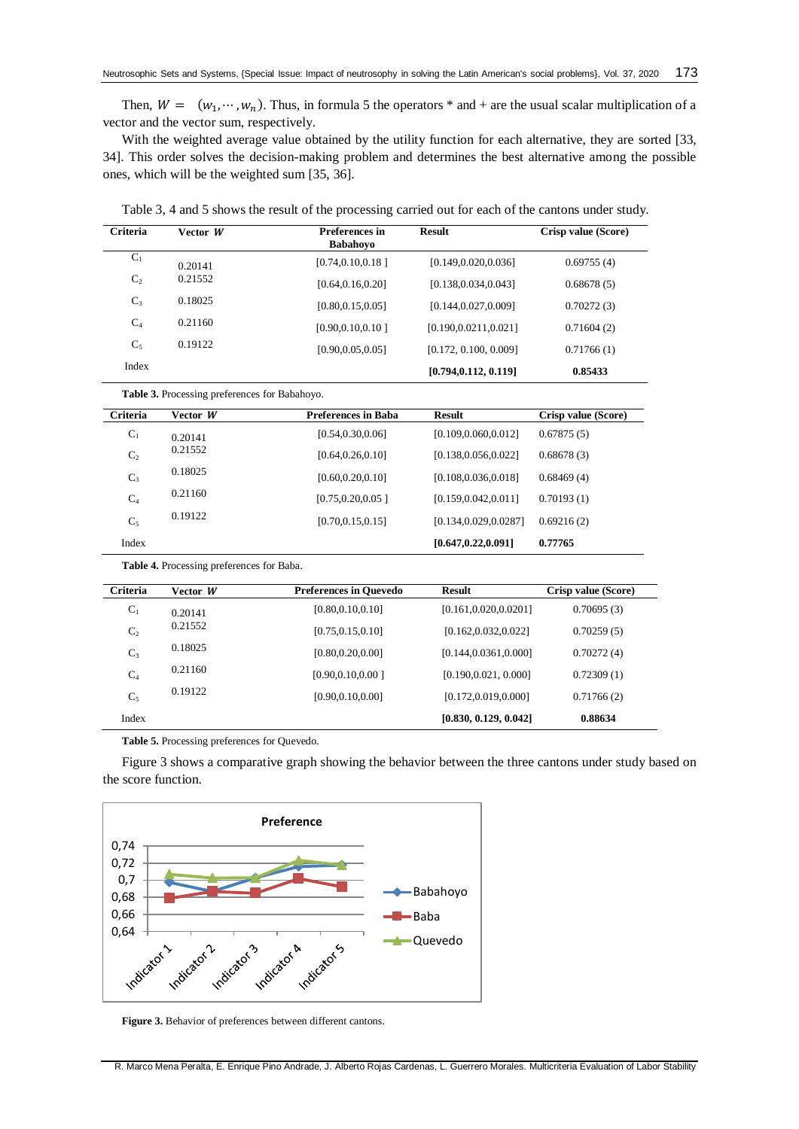Then,  $W = (w_1, \dots, w_n)$ . Thus, in formula 5 the operators \* and + are the usual scalar multiplication of a vector and the vector sum, respectively.

With the weighted average value obtained by the utility function for each alternative, they are sorted [\[33,](#page-6-10) [34\]](#page-6-11). This order solves the decision-making problem and determines the best alternative among the possible ones, which will be the weighted sum [\[35,](#page-6-12) [36\]](#page-6-13).

Table 3, 4 and 5 shows the result of the processing carried out for each of the cantons under study.

| Criteria       | Vector W                                      | <b>Preferences</b> in<br><b>Babahoyo</b> | <b>Result</b>          | Crisp value (Score) |
|----------------|-----------------------------------------------|------------------------------------------|------------------------|---------------------|
| $C_1$          | 0.20141                                       | [0.74, 0.10, 0.18]                       | [0.149, 0.020, 0.036]  | 0.69755(4)          |
| C <sub>2</sub> | 0.21552                                       | [0.64, 0.16, 0.20]                       | [0.138, 0.034, 0.043]  | 0.68678(5)          |
| $C_3$          | 0.18025                                       | [0.80, 0.15, 0.05]                       | [0.144, 0.027, 0.009]  | 0.70272(3)          |
| C <sub>4</sub> | 0.21160                                       | [0.90, 0.10, 0.10]                       | [0.190, 0.0211, 0.021] | 0.71604(2)          |
| $C_5$          | 0.19122                                       | [0.90, 0.05, 0.05]                       | [0.172, 0.100, 0.009]  | 0.71766(1)          |
| Index          |                                               |                                          | [0.794, 0.112, 0.119]  | 0.85433             |
|                | Table 3. Processing preferences for Babahoyo. |                                          |                        |                     |
| Criteria       | Vector W                                      | <b>Preferences in Baba</b>               | <b>Result</b>          | Crisp value (Score) |
| $C_1$          | 0.20141                                       | [0.54, 0.30, 0.06]                       | [0.109, 0.060, 0.012]  | 0.67875(5)          |
| C <sub>2</sub> | 0.21552                                       | [0.64, 0.26, 0.10]                       | [0.138, 0.056, 0.022]  | 0.68678(3)          |
| $C_3$          | 0.18025                                       | [0.60, 0.20, 0.10]                       | [0.108, 0.036, 0.018]  | 0.68469(4)          |
| C <sub>4</sub> | 0.21160                                       | [0.75, 0.20, 0.05]                       | [0.159, 0.042, 0.011]  | 0.70193(1)          |
| $C_5$          | 0.19122                                       | [0.70, 0.15, 0.15]                       | [0.134, 0.029, 0.0287] | 0.69216(2)          |
| Index          |                                               |                                          | [0.647, 0.22, 0.091]   | 0.77765             |
|                | Table 4. Processing preferences for Baba.     |                                          |                        |                     |
| Criteria       | Vector W                                      | <b>Preferences in Quevedo</b>            | <b>Result</b>          | Crisp value (Score) |
| $C_1$          | 0.20141                                       | [0.80, 0.10, 0.10]                       | [0.161, 0.020, 0.0201] | 0.70695(3)          |
| C <sub>2</sub> | 0.21552                                       | [0.75, 0.15, 0.10]                       | [0.162, 0.032, 0.022]  | 0.70259(5)          |
| $C_3$          | 0.18025                                       | [0.80, 0.20, 0.00]                       | [0.144, 0.0361, 0.000] | 0.70272(4)          |
| C <sub>4</sub> | 0.21160                                       | [0.90, 0.10, 0.00]                       | [0.190, 0.021, 0.000]  | 0.72309(1)          |
| $C_5$          | 0.19122                                       | [0.90, 0.10, 0.00]                       | [0.172, 0.019, 0.000]  | 0.71766(2)          |
| Index          |                                               |                                          | [0.830, 0.129, 0.042]  | 0.88634             |

**Table 5.** Processing preferences for Quevedo.

Figure 3 shows a comparative graph showing the behavior between the three cantons under study based on the score function.



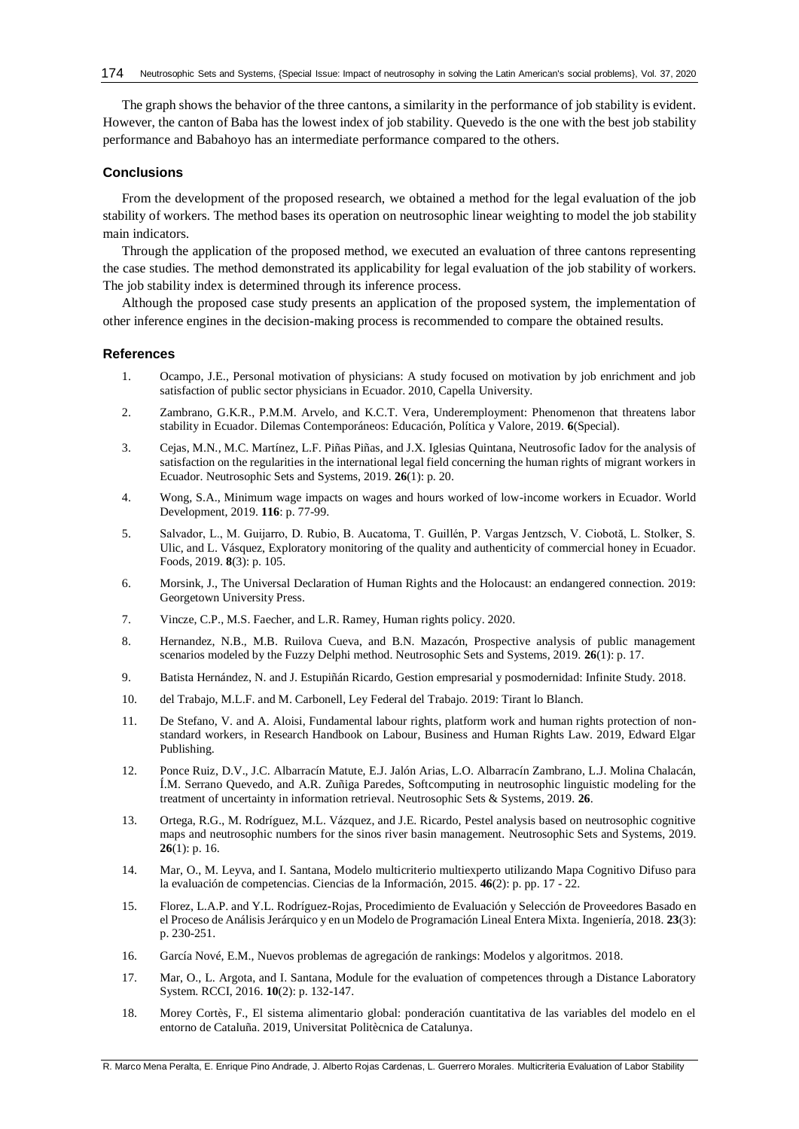The graph shows the behavior of the three cantons, a similarity in the performance of job stability is evident. However, the canton of Baba has the lowest index of job stability. Quevedo is the one with the best job stability performance and Babahoyo has an intermediate performance compared to the others.

## **Conclusions**

From the development of the proposed research, we obtained a method for the legal evaluation of the job stability of workers. The method bases its operation on neutrosophic linear weighting to model the job stability main indicators.

Through the application of the proposed method, we executed an evaluation of three cantons representing the case studies. The method demonstrated its applicability for legal evaluation of the job stability of workers. The job stability index is determined through its inference process.

Although the proposed case study presents an application of the proposed system, the implementation of other inference engines in the decision-making process is recommended to compare the obtained results.

#### **References**

- <span id="page-5-0"></span>1. Ocampo, J.E., Personal motivation of physicians: A study focused on motivation by job enrichment and job satisfaction of public sector physicians in Ecuador. 2010, Capella University.
- <span id="page-5-1"></span>2. Zambrano, G.K.R., P.M.M. Arvelo, and K.C.T. Vera, Underemployment: Phenomenon that threatens labor stability in Ecuador. Dilemas Contemporáneos: Educación, Política y Valore, 2019. **6**(Special).
- <span id="page-5-2"></span>3. Cejas, M.N., M.C. Martínez, L.F. Piñas Piñas, and J.X. Iglesias Quintana, Neutrosofic Iadov for the analysis of satisfaction on the regularities in the international legal field concerning the human rights of migrant workers in Ecuador. Neutrosophic Sets and Systems, 2019. **26**(1): p. 20.
- <span id="page-5-3"></span>4. Wong, S.A., Minimum wage impacts on wages and hours worked of low-income workers in Ecuador. World Development, 2019. **116**: p. 77-99.
- <span id="page-5-4"></span>5. Salvador, L., M. Guijarro, D. Rubio, B. Aucatoma, T. Guillén, P. Vargas Jentzsch, V. Ciobotă, L. Stolker, S. Ulic, and L. Vásquez, Exploratory monitoring of the quality and authenticity of commercial honey in Ecuador. Foods, 2019. **8**(3): p. 105.
- <span id="page-5-5"></span>6. Morsink, J., The Universal Declaration of Human Rights and the Holocaust: an endangered connection. 2019: Georgetown University Press.
- <span id="page-5-6"></span>7. Vincze, C.P., M.S. Faecher, and L.R. Ramey, Human rights policy. 2020.
- <span id="page-5-7"></span>8. Hernandez, N.B., M.B. Ruilova Cueva, and B.N. Mazacón, Prospective analysis of public management scenarios modeled by the Fuzzy Delphi method. Neutrosophic Sets and Systems, 2019. **26**(1): p. 17.
- <span id="page-5-8"></span>9. Batista Hernández, N. and J. Estupiñán Ricardo, Gestion empresarial y posmodernidad: Infinite Study. 2018.
- <span id="page-5-9"></span>10. del Trabajo, M.L.F. and M. Carbonell, Ley Federal del Trabajo. 2019: Tirant lo Blanch.
- <span id="page-5-10"></span>11. De Stefano, V. and A. Aloisi, Fundamental labour rights, platform work and human rights protection of nonstandard workers, in Research Handbook on Labour, Business and Human Rights Law. 2019, Edward Elgar Publishing.
- <span id="page-5-11"></span>12. Ponce Ruiz, D.V., J.C. Albarracín Matute, E.J. Jalón Arias, L.O. Albarracín Zambrano, L.J. Molina Chalacán, Í.M. Serrano Quevedo, and A.R. Zuñiga Paredes, Softcomputing in neutrosophic linguistic modeling for the treatment of uncertainty in information retrieval. Neutrosophic Sets & Systems, 2019. **26**.
- <span id="page-5-12"></span>13. Ortega, R.G., M. Rodríguez, M.L. Vázquez, and J.E. Ricardo, Pestel analysis based on neutrosophic cognitive maps and neutrosophic numbers for the sinos river basin management. Neutrosophic Sets and Systems, 2019. **26**(1): p. 16.
- <span id="page-5-13"></span>14. Mar, O., M. Leyva, and I. Santana, Modelo multicriterio multiexperto utilizando Mapa Cognitivo Difuso para la evaluación de competencias. Ciencias de la Información, 2015. **46**(2): p. pp. 17 - 22.
- 15. Florez, L.A.P. and Y.L. Rodríguez-Rojas, Procedimiento de Evaluación y Selección de Proveedores Basado en el Proceso de Análisis Jerárquico y en un Modelo de Programación Lineal Entera Mixta. Ingeniería, 2018. **23**(3): p. 230-251.
- 16. García Nové, E.M., Nuevos problemas de agregación de rankings: Modelos y algoritmos. 2018.
- <span id="page-5-14"></span>17. Mar, O., L. Argota, and I. Santana, Module for the evaluation of competences through a Distance Laboratory System. RCCI, 2016. **10**(2): p. 132-147.
- <span id="page-5-15"></span>18. Morey Cortès, F., El sistema alimentario global: ponderación cuantitativa de las variables del modelo en el entorno de Cataluña. 2019, Universitat Politècnica de Catalunya.